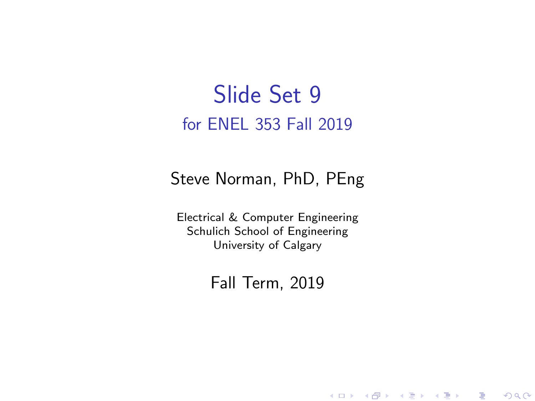#### Slide Set 9 for ENEL 353 Fall 2019

#### Steve Norman, PhD, PEng

Electrical & Computer Engineering Schulich School of Engineering University of Calgary

Fall Term, 2019

メロメ メ御メ メ君メ メ君メー

一番

 $2Q$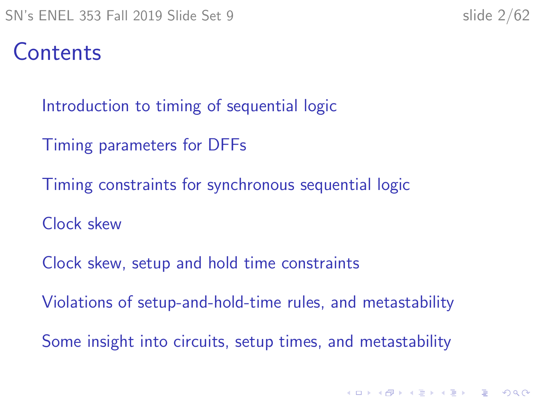KID KA KERKER KID KO

#### Contents

[Introduction to timing of sequential logic](#page-2-0)

[Timing parameters for DFFs](#page-6-0)

[Timing constraints for synchronous sequential logic](#page-15-0)

[Clock skew](#page-26-0)

[Clock skew, setup and hold time constraints](#page-30-0)

[Violations of setup-and-hold-time rules, and metastability](#page-35-0)

[Some insight into circuits, setup times, and metastability](#page-47-0)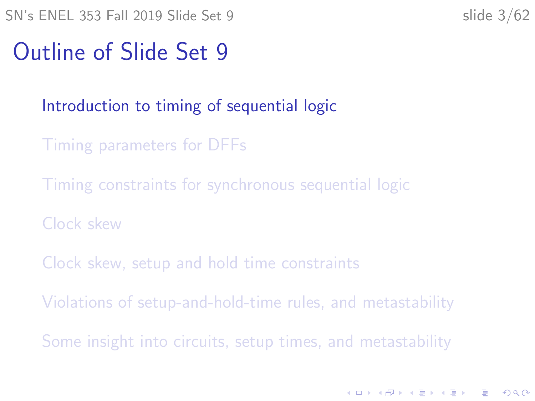K ロ ▶ K 個 ▶ K 할 ▶ K 할 ▶ 이 할 → 9 Q Q →

#### <span id="page-2-0"></span>Outline of Slide Set 9

#### [Introduction to timing of sequential logic](#page-2-0)

- [Timing parameters for DFFs](#page-6-0)
- [Timing constraints for synchronous sequential logic](#page-15-0)
- [Clock skew](#page-26-0)
- [Clock skew, setup and hold time constraints](#page-30-0)
- [Violations of setup-and-hold-time rules, and metastability](#page-35-0)
- [Some insight into circuits, setup times, and metastability](#page-47-0)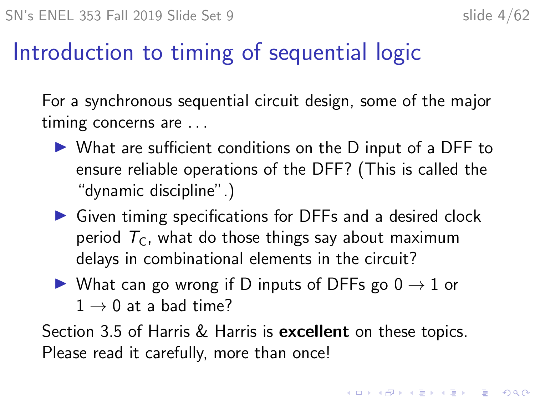#### Introduction to timing of sequential logic

For a synchronous sequential circuit design, some of the major timing concerns are . . .

- $\triangleright$  What are sufficient conditions on the D input of a DFF to ensure reliable operations of the DFF? (This is called the "dynamic discipline".)
- $\triangleright$  Given timing specifications for DFFs and a desired clock period  $T_c$ , what do those things say about maximum delays in combinational elements in the circuit?
- $\triangleright$  What can go wrong if D inputs of DFFs go  $0 \to 1$  or  $1 \rightarrow 0$  at a bad time?

Section 3.5 of Harris & Harris is **excellent** on these topics. Please read it carefully, more than once!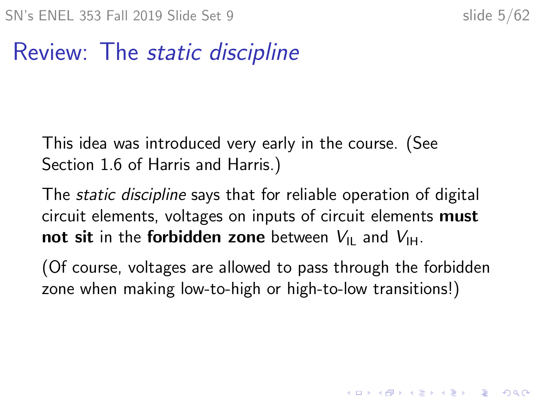KID KA KERKER KID KO

#### Review: The static discipline

This idea was introduced very early in the course. (See Section 1.6 of Harris and Harris.)

The static discipline says that for reliable operation of digital circuit elements, voltages on inputs of circuit elements must not sit in the forbidden zone between  $V_{\text{II}}$  and  $V_{\text{H}}$ .

(Of course, voltages are allowed to pass through the forbidden zone when making low-to-high or high-to-low transitions!)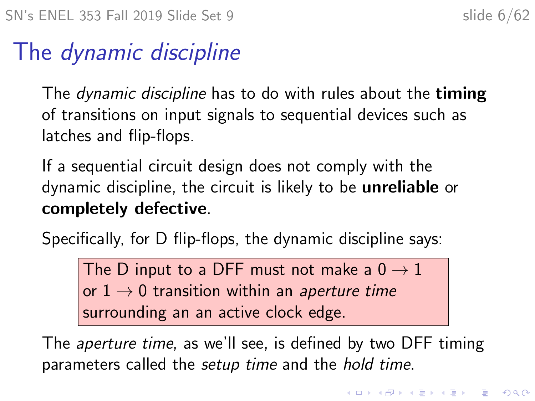#### The dynamic discipline

The *dynamic discipline* has to do with rules about the **timing** of transitions on input signals to sequential devices such as latches and flip-flops.

If a sequential circuit design does not comply with the dynamic discipline, the circuit is likely to be unreliable or completely defective.

Specifically, for D flip-flops, the dynamic discipline says:

The D input to a DFF must not make a  $0 \rightarrow 1$ or  $1 \rightarrow 0$  transition within an aperture time surrounding an an active clock edge.

The *aperture time*, as we'll see, is defined by two DFF timing parameters called the setup time and the hold time.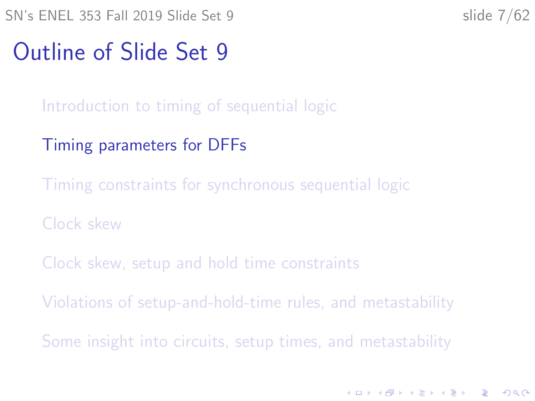<span id="page-6-0"></span> $SN's ENEL 353 Fall 2019 Slide Set 9$  slide  $7/62$ 

**KORKARYKERKER OQO** 

#### Outline of Slide Set 9

[Introduction to timing of sequential logic](#page-2-0)

- [Timing parameters for DFFs](#page-6-0)
- [Timing constraints for synchronous sequential logic](#page-15-0)
- [Clock skew](#page-26-0)
- [Clock skew, setup and hold time constraints](#page-30-0)
- [Violations of setup-and-hold-time rules, and metastability](#page-35-0)
- [Some insight into circuits, setup times, and metastability](#page-47-0)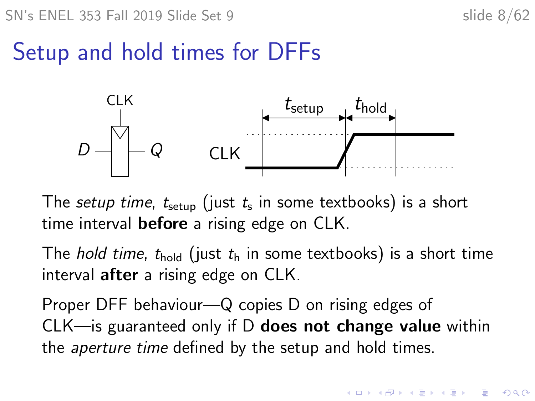**KORKARYKERKER OQO** 

#### Setup and hold times for DFFs



The *setup time, t* $_{\rm setup}$  (just  $t_{\rm s}$  in some textbooks) is a short time interval **before** a rising edge on CLK.

The *hold time*,  $t_{hold}$  (just  $t<sub>h</sub>$  in some textbooks) is a short time interval after a rising edge on CLK.

Proper DFF behaviour—Q copies D on rising edges of CLK—is guaranteed only if D does not change value within the aperture time defined by the setup and hold times.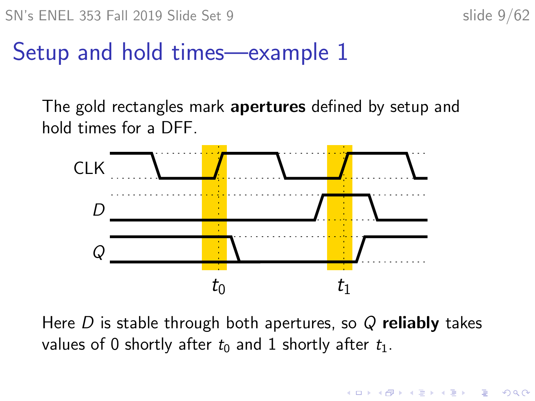**KORKARYKERKER OQO** 

#### Setup and hold times—example 1

The gold rectangles mark apertures defined by setup and hold times for a DFF.



Here  $D$  is stable through both apertures, so  $Q$  reliably takes values of 0 shortly after  $t_0$  and 1 shortly after  $t_1$ .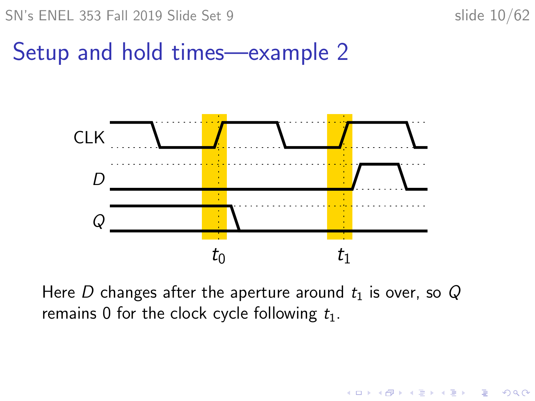$SN's ENEL 353$  Fall 2019 Slide Set 9 slide 10/62

 $\mathbf{E} = \mathbf{A} \oplus \mathbf{B} + \mathbf{A} \oplus \mathbf{B} + \mathbf{A} \oplus \mathbf{B} + \mathbf{A} \oplus \mathbf{A}$ 

 $2990$ 

#### Setup and hold times—example 2



Here D changes after the aperture around  $t_1$  is over, so Q remains 0 for the clock cycle following  $t_1$ .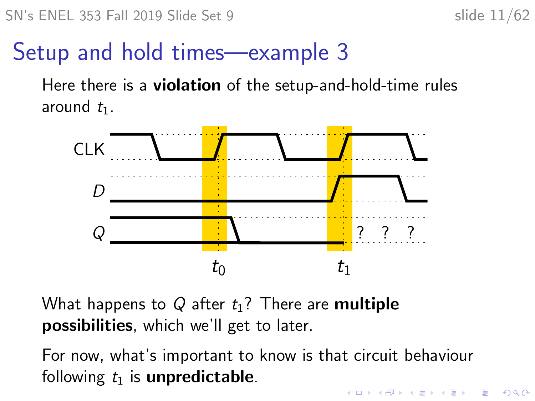#### Setup and hold times—example 3

Here there is a violation of the setup-and-hold-time rules around  $t_1$ .



What happens to Q after  $t_1$ ? There are multiple possibilities, which we'll get to later.

For now, what's important to know is that circuit behaviour following  $t_1$  is **unpredictable**. **KORKAR KERKER SAGA**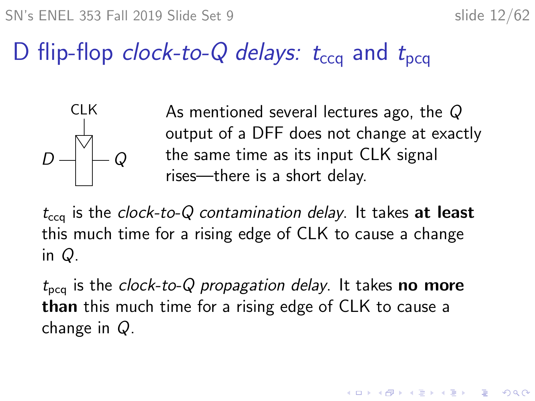KID KA KERKER KID KO

## D flip-flop clock-to-Q delays:  $t_{\text{cc}q}$  and  $t_{\text{p}cq}$



 $\mathsf{CLK}$  As mentioned several lectures ago, the Q output of a DFF does not change at exactly the same time as its input CLK signal rises—there is a short delay.

 $t_{\text{ceq}}$  is the clock-to-Q contamination delay. It takes at least this much time for a rising edge of CLK to cause a change in Q.

 $t_{\text{pcq}}$  is the clock-to-Q propagation delay. It takes no more than this much time for a rising edge of CLK to cause a change in Q.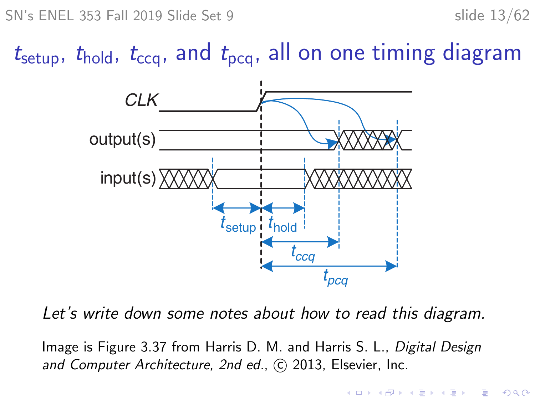$SN's ENEL 353 Fall 2019 Slide Set 9$  slide 13/62

 $t_{\text{setup}}$ ,  $t_{\text{hold}}$ ,  $t_{\text{ccq}}$ , and  $t_{\text{pcq}}$ , all on one timing diagram



Let's write down some notes about how to read this diagram.

Image is Figure 3.37 from Harris D. M. and Harris S. L., Digital Design and Computer Architecture, 2nd ed., C 2013, Elsevier, Inc.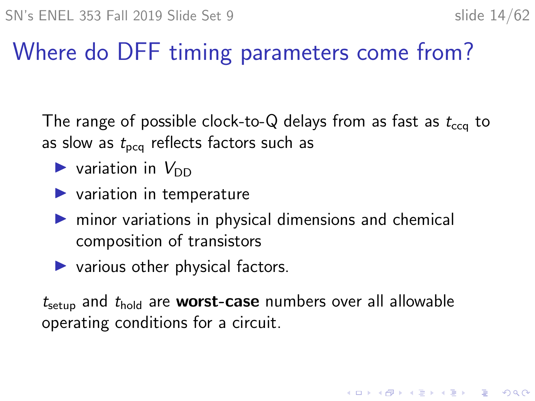## Where do DFF timing parameters come from?

The range of possible clock-to-Q delays from as fast as  $t_{\rm cca}$  to as slow as  $t_{\text{pca}}$  reflects factors such as

- $\blacktriangleright$  variation in  $V_{\text{DD}}$
- $\blacktriangleright$  variation in temperature
- $\triangleright$  minor variations in physical dimensions and chemical composition of transistors
- $\blacktriangleright$  various other physical factors.

 $t_{\rm setup}$  and  $t_{\rm hold}$  are **worst-case** numbers over all allowable operating conditions for a circuit.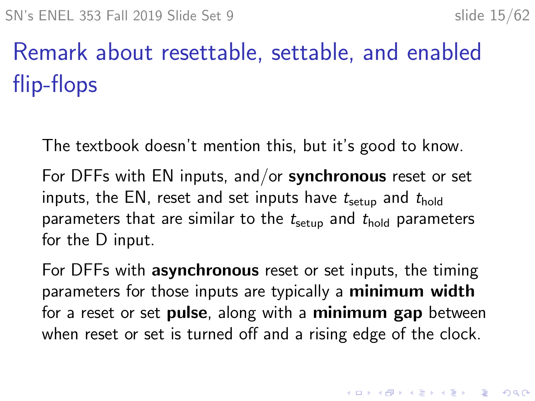# Remark about resettable, settable, and enabled flip-flops

The textbook doesn't mention this, but it's good to know.

For DFFs with EN inputs, and/or **synchronous** reset or set inputs, the EN, reset and set inputs have  $t_{\text{setup}}$  and  $t_{\text{hold}}$ parameters that are similar to the  $t<sub>setup</sub>$  and  $t<sub>hold</sub>$  parameters for the D input.

For DFFs with **asynchronous** reset or set inputs, the timing parameters for those inputs are typically a minimum width for a reset or set pulse, along with a minimum gap between when reset or set is turned off and a rising edge of the clock.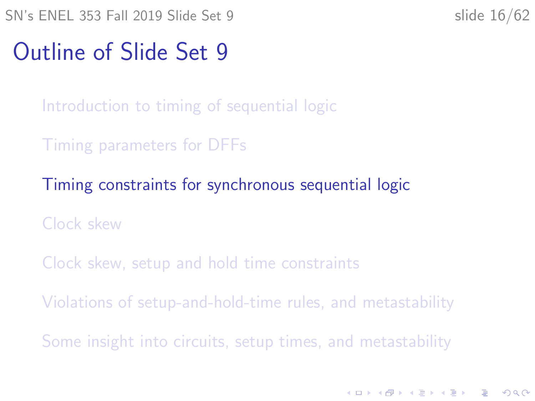<span id="page-15-0"></span> $SN's ENEL$  353 Fall 2019 Slide Set 9 slide 16/62

K ロ ▶ K 個 ▶ K 할 ▶ K 할 ▶ 이 할 → 9 Q Q →

#### Outline of Slide Set 9

[Introduction to timing of sequential logic](#page-2-0)

[Timing parameters for DFFs](#page-6-0)

[Timing constraints for synchronous sequential logic](#page-15-0)

[Clock skew](#page-26-0)

[Clock skew, setup and hold time constraints](#page-30-0)

[Violations of setup-and-hold-time rules, and metastability](#page-35-0)

[Some insight into circuits, setup times, and metastability](#page-47-0)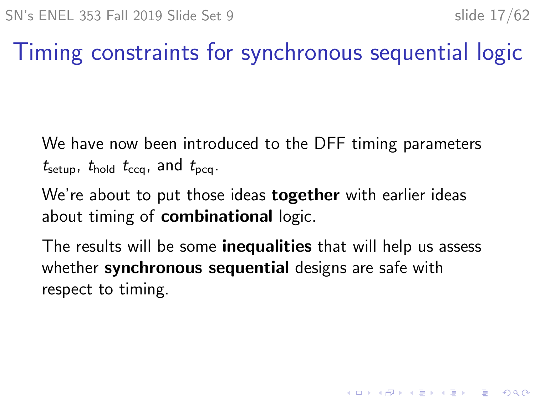## Timing constraints for synchronous sequential logic

We have now been introduced to the DFF timing parameters  $t_{\text{setup}}$ ,  $t_{\text{hold}}$   $t_{\text{ccq}}$ , and  $t_{\text{pcq}}$ .

We're about to put those ideas **together** with earlier ideas about timing of **combinational** logic.

The results will be some **inequalities** that will help us assess whether synchronous sequential designs are safe with respect to timing.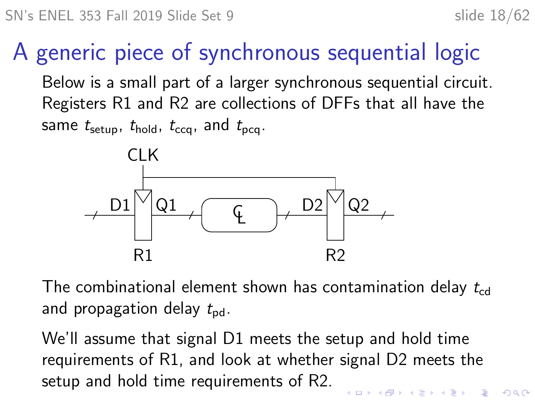#### A generic piece of synchronous sequential logic

Below is a small part of a larger synchronous sequential circuit. Registers R1 and R2 are collections of DFFs that all have the same  $t_{\text{setup}}$ ,  $t_{\text{hold}}$ ,  $t_{\text{cca}}$ , and  $t_{\text{pca}}$ .



The combinational element shown has contamination delay  $t_{\rm cd}$ and propagation delay  $t_{\rm{pd}}$ .

We'll assume that signal D1 meets the setup and hold time requirements of R1, and look at whether signal D2 meets the setup and hold time requirements of R2.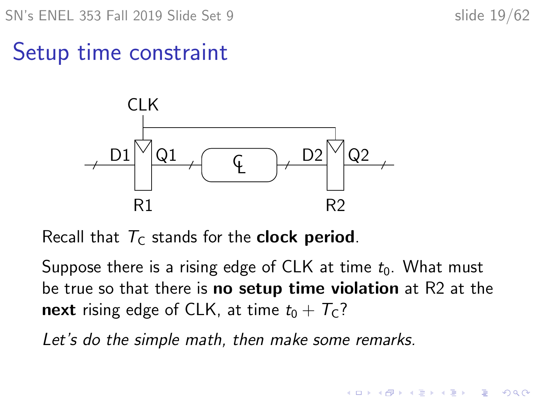$SN's ENEL$  353 Fall 2019 Slide Set 9 slide 19/62

**KORKARYKERKER OQO** 

Setup time constraint



Recall that  $T<sub>C</sub>$  stands for the **clock period**.

Suppose there is a rising edge of CLK at time  $t_0$ . What must be true so that there is **no setup time violation** at R2 at the next rising edge of CLK, at time  $t_0 + T_c$ ?

Let's do the simple math, then make some remarks.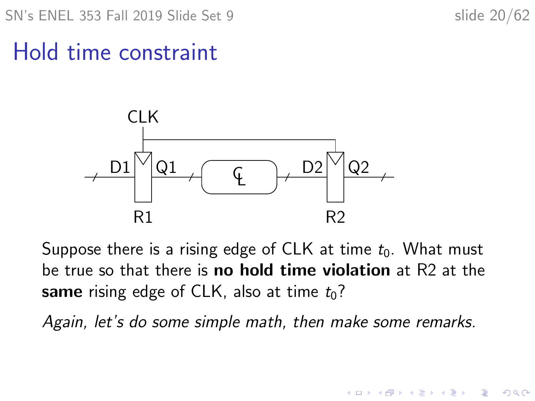$SN's ENEL$  353 Fall 2019 Slide Set 9 slide 20/62

 $\mathbf{E} = \mathbf{A} \oplus \mathbf{B} + \mathbf{A} \oplus \mathbf{B} + \mathbf{A} \oplus \mathbf{B} + \mathbf{A} \oplus \mathbf{A}$ 

 $2990$ 

Hold time constraint



Suppose there is a rising edge of CLK at time  $t_0$ . What must be true so that there is **no hold time violation** at R2 at the same rising edge of CLK, also at time  $t_0$ ?

Again, let's do some simple math, then make some remarks.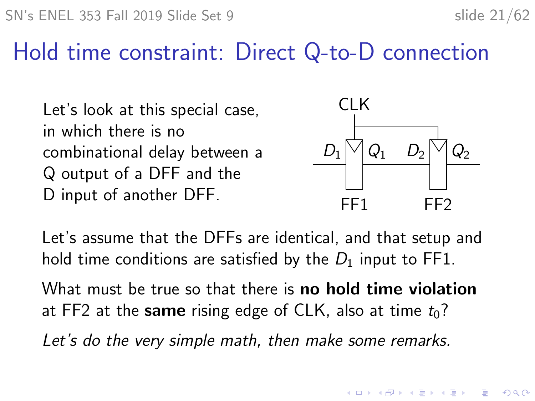#### Hold time constraint: Direct Q-to-D connection

Let's look at this special case, in which there is no combinational delay between a Q output of a DFF and the D input of another DFF.



Let's assume that the DFFs are identical, and that setup and hold time conditions are satisfied by the  $D_1$  input to FF1.

What must be true so that there is **no hold time violation** at FF2 at the same rising edge of CLK, also at time  $t_0$ ?

Let's do the very simple math, then make some remarks.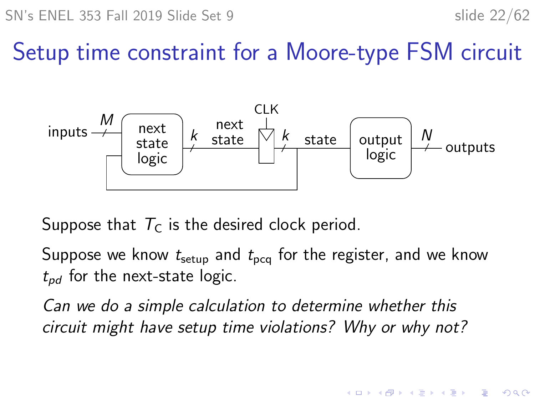SN's ENEL 353 Fall 2019 Slide Set 9 slide 22/62

 $\mathbf{A} \equiv \mathbf{A} + \mathbf{A} + \mathbf{B} + \mathbf{A} + \mathbf{B} + \mathbf{A} + \mathbf{B} + \mathbf{A} + \mathbf{B} + \mathbf{A} + \mathbf{B} + \mathbf{A} + \mathbf{B} + \mathbf{A} + \mathbf{B} + \mathbf{A} + \mathbf{B} + \mathbf{A} + \mathbf{B} + \mathbf{A} + \mathbf{B} + \mathbf{A} + \mathbf{B} + \mathbf{A} + \mathbf{B} + \mathbf{A} + \mathbf{B} + \mathbf{A} + \mathbf{B} + \mathbf{A} + \math$ 

 $2990$ 

#### Setup time constraint for a Moore-type FSM circuit



Suppose that  $T_c$  is the desired clock period.

Suppose we know  $t_{\text{setup}}$  and  $t_{\text{pca}}$  for the register, and we know  $t_{nd}$  for the next-state logic.

Can we do a simple calculation to determine whether this circuit might have setup time violations? Why or why not?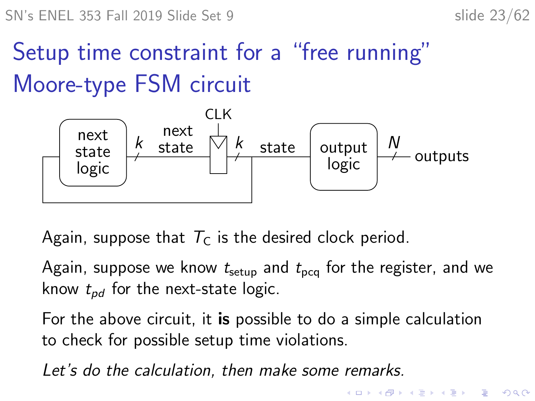# Setup time constraint for a "free running" Moore-type FSM circuit



Again, suppose that  $T_c$  is the desired clock period.

Again, suppose we know  $t<sub>setup</sub>$  and  $t<sub>pcq</sub>$  for the register, and we know  $t_{nd}$  for the next-state logic.

For the above circuit, it is possible to do a simple calculation to check for possible setup time violations.

Let's do the calculation, then make some remarks.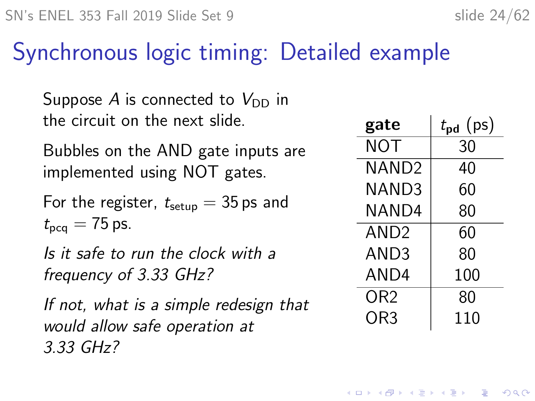#### Synchronous logic timing: Detailed example

Suppose A is connected to  $V_{DD}$  in the circuit on the next slide.

Bubbles on the AND gate inputs are implemented using NOT gates.

For the register,  $t_{\text{setun}} = 35$  ps and  $t_{\text{pca}} = 75$  ps.

Is it safe to run the clock with a frequency of 3.33 GHz?

If not, what is a simple redesign that would allow safe operation at 3.33 GHz?

| gate              | $t_{\rm pd}$ (ps) |
|-------------------|-------------------|
| <b>NOT</b>        | 30                |
| NAND <sub>2</sub> | 40                |
| NAND3             | 60                |
| NAND4             | 80                |
| AND <sub>2</sub>  | 60                |
| AND3              | 80                |
| AND4              | 100               |
| OR <sub>2</sub>   | 80                |
| OR3               | 110               |

**KORKARYKERKER OQO**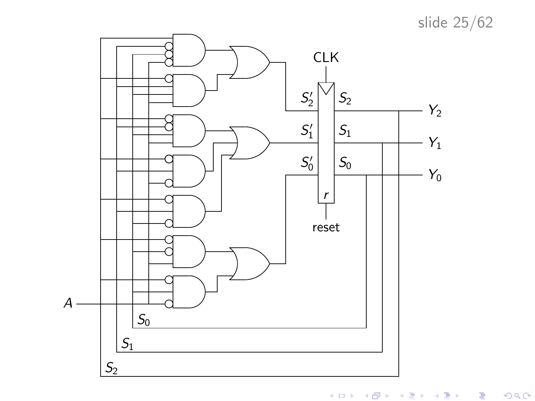slide 25/62



メロト メ御ト メミト メミト 一番  $299$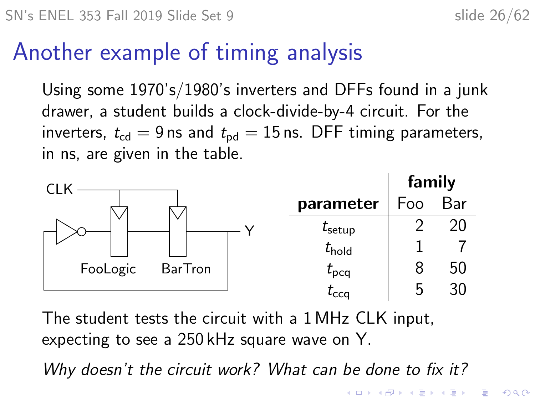## Another example of timing analysis

Using some 1970's/1980's inverters and DFFs found in a junk drawer, a student builds a clock-divide-by-4 circuit. For the inverters,  $t_{cd} = 9$  ns and  $t_{dd} = 15$  ns. DFF timing parameters, in ns, are given in the table.



The student tests the circuit with a 1 MHz CLK input, expecting to see a 250 kHz square wave on Y.

Why doesn't the circuit work? What can be done to fix it?

KO KA KO KERKER KONGK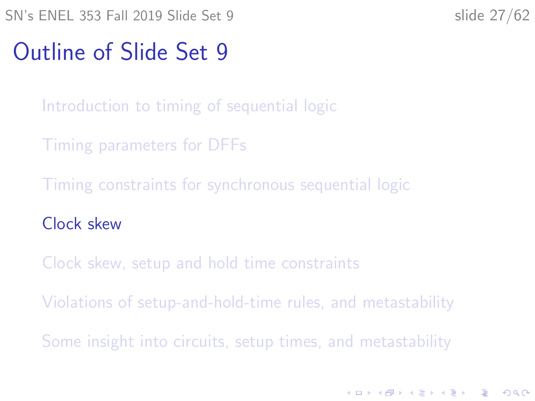**KORKARYKERKER OQO** 

#### <span id="page-26-0"></span>Outline of Slide Set 9

[Introduction to timing of sequential logic](#page-2-0)

[Timing parameters for DFFs](#page-6-0)

[Timing constraints for synchronous sequential logic](#page-15-0)

[Clock skew](#page-26-0)

[Clock skew, setup and hold time constraints](#page-30-0)

[Violations of setup-and-hold-time rules, and metastability](#page-35-0)

[Some insight into circuits, setup times, and metastability](#page-47-0)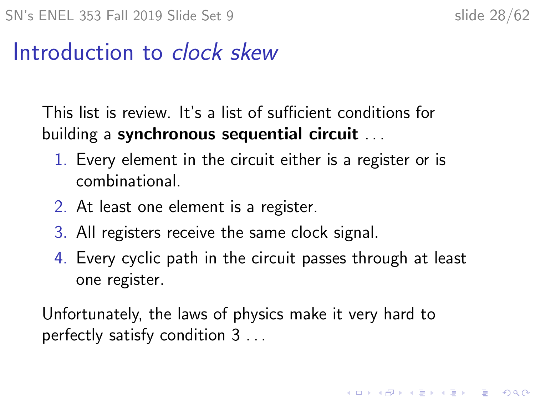#### Introduction to clock skew

This list is review. It's a list of sufficient conditions for building a synchronous sequential circuit ...

- 1. Every element in the circuit either is a register or is combinational.
- 2. At least one element is a register.
- 3. All registers receive the same clock signal.
- 4. Every cyclic path in the circuit passes through at least one register.

Unfortunately, the laws of physics make it very hard to perfectly satisfy condition 3 . . .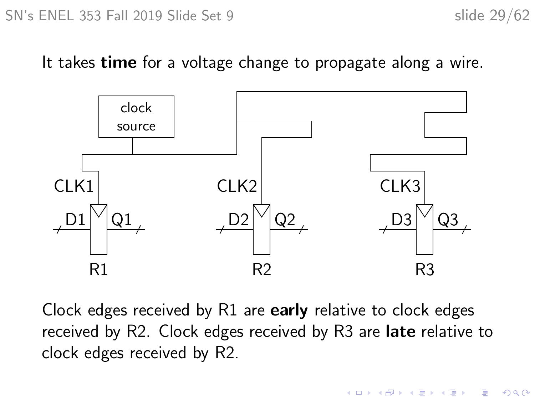It takes **time** for a voltage change to propagate along a wire.



Clock edges received by R1 are early relative to clock edges received by R2. Clock edges received by R3 are late relative to clock edges received by R2.

**KORK EXTERNE PROVIDE**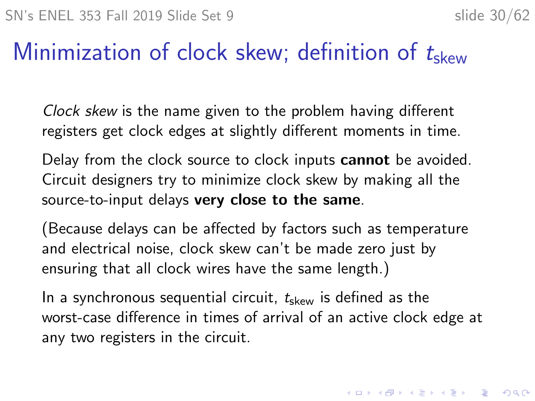#### Minimization of clock skew; definition of  $t<sub>skew</sub>$

Clock skew is the name given to the problem having different registers get clock edges at slightly different moments in time.

Delay from the clock source to clock inputs **cannot** be avoided. Circuit designers try to minimize clock skew by making all the source-to-input delays very close to the same.

(Because delays can be affected by factors such as temperature and electrical noise, clock skew can't be made zero just by ensuring that all clock wires have the same length.)

In a synchronous sequential circuit,  $t_{\rm skew}$  is defined as the worst-case difference in times of arrival of an active clock edge at any two registers in the circuit.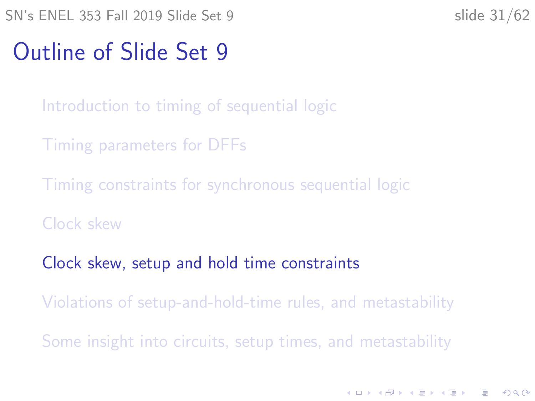K ロ ▶ K 個 ▶ K 할 ▶ K 할 ▶ 이 할 → 9 Q Q →

#### <span id="page-30-0"></span>Outline of Slide Set 9

[Introduction to timing of sequential logic](#page-2-0)

[Timing parameters for DFFs](#page-6-0)

[Timing constraints for synchronous sequential logic](#page-15-0)

[Clock skew](#page-26-0)

[Clock skew, setup and hold time constraints](#page-30-0)

[Violations of setup-and-hold-time rules, and metastability](#page-35-0)

[Some insight into circuits, setup times, and metastability](#page-47-0)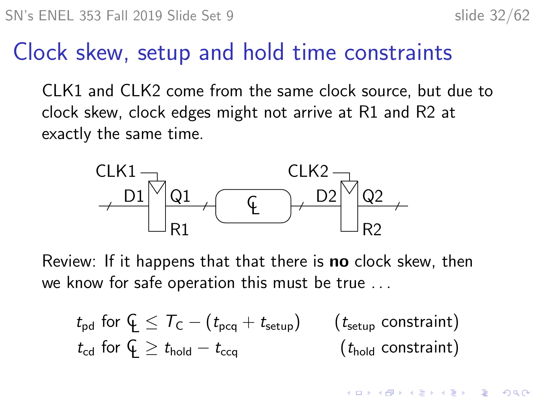$\mathbf{A} \equiv \mathbf{A} + \mathbf{A} + \mathbf{B} + \mathbf{A} + \mathbf{B} + \mathbf{A} + \mathbf{B} + \mathbf{A} + \mathbf{B} + \mathbf{A} + \mathbf{B} + \mathbf{A} + \mathbf{B} + \mathbf{A} + \mathbf{B} + \mathbf{A} + \mathbf{B} + \mathbf{A} + \mathbf{B} + \mathbf{A} + \mathbf{B} + \mathbf{A} + \mathbf{B} + \mathbf{A} + \mathbf{B} + \mathbf{A} + \mathbf{B} + \mathbf{A} + \mathbf{B} + \mathbf{A} + \math$ 

 $2990$ 

#### Clock skew, setup and hold time constraints

CLK1 and CLK2 come from the same clock source, but due to clock skew, clock edges might not arrive at R1 and R2 at exactly the same time.



Review: If it happens that that there is **no** clock skew, then we know for safe operation this must be true . . .

$$
t_{\text{pd}} \text{ for } \mathcal{L} \leq T_{\text{C}} - (t_{\text{pcq}} + t_{\text{setup}}) \qquad (t_{\text{setup}} \text{ constraint})
$$
  

$$
t_{\text{cd}} \text{ for } \mathcal{L} \geq t_{\text{hold}} - t_{\text{ccq}} \qquad (t_{\text{hold}} \text{ constraint})
$$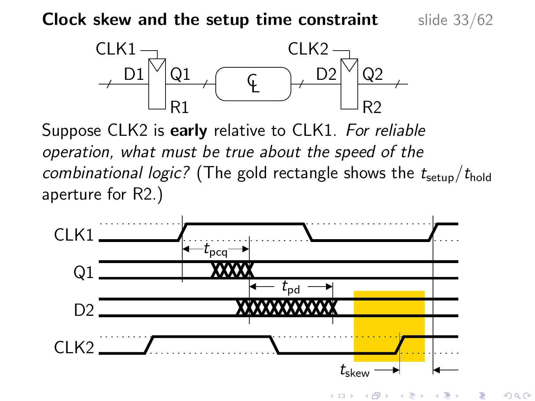**Clock skew and the setup time constraint** slide  $33/62$ 



Suppose CLK2 is early relative to CLK1. For reliable operation, what must be true about the speed of the combinational logic? (The gold rectangle shows the  $t_{\rm setun}/t_{\rm hold}$ aperture for R2.)



€ □ ≯

 $2Q$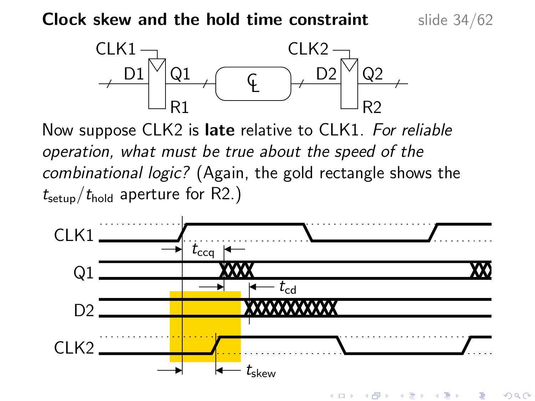**Clock skew and the hold time constraint** slide 34/62



Now suppose CLK2 is late relative to CLK1. For reliable operation, what must be true about the speed of the combinational logic? (Again, the gold rectangle shows the  $t_{\text{setup}}/t_{\text{hold}}$  aperture for R2.)



K ロ ▶ | K 御 ▶ | K 重 ▶ | K Э× 重  $2Q$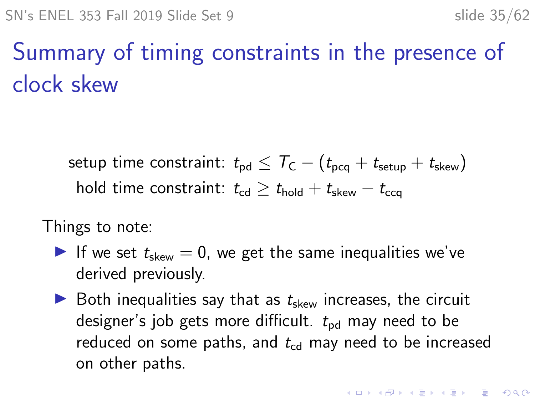# Summary of timing constraints in the presence of clock skew

setup time constraint:  $t_{\rm pd} \leq T_{\rm C} - (t_{\rm bca} + t_{\rm setup} + t_{\rm skew})$ hold time constraint:  $t_{\text{cd}} \geq t_{\text{hold}} + t_{\text{skew}} - t_{\text{ccq}}$ 

Things to note:

- If we set  $t_{\text{skew}} = 0$ , we get the same inequalities we've derived previously.
- $\triangleright$  Both inequalities say that as  $t_{\text{skew}}$  increases, the circuit designer's job gets more difficult.  $t_{nd}$  may need to be reduced on some paths, and  $t_{\rm cd}$  may need to be increased on other paths.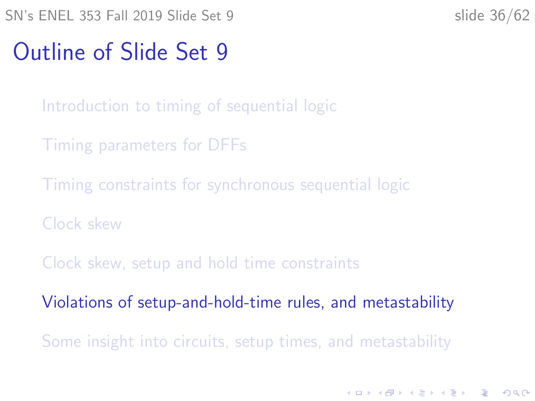K ロ ▶ K 個 ▶ K 할 ▶ K 할 ▶ 이 할 → 9 Q Q →

#### <span id="page-35-0"></span>Outline of Slide Set 9

[Introduction to timing of sequential logic](#page-2-0)

[Timing parameters for DFFs](#page-6-0)

[Timing constraints for synchronous sequential logic](#page-15-0)

[Clock skew](#page-26-0)

[Clock skew, setup and hold time constraints](#page-30-0)

[Violations of setup-and-hold-time rules, and metastability](#page-35-0)

[Some insight into circuits, setup times, and metastability](#page-47-0)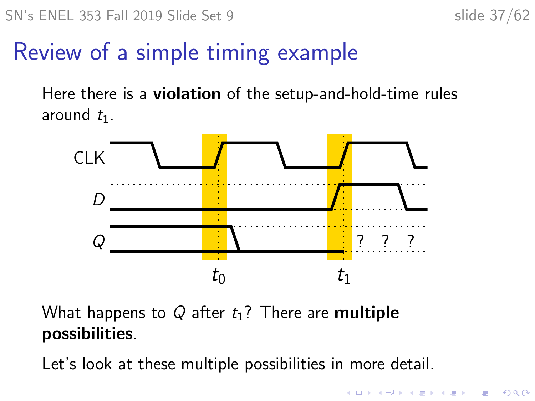**KORKARYKERKER OQO** 

## Review of a simple timing example

Here there is a violation of the setup-and-hold-time rules around  $t_1$ .



What happens to Q after  $t_1$ ? There are **multiple** possibilities.

Let's look at these multiple possibilities in more detail.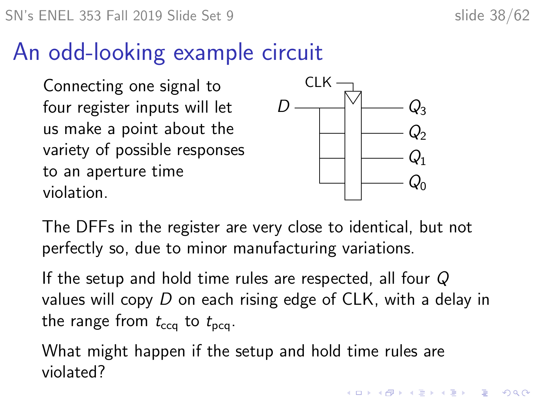**KORKAR KERKER SAGA** 

#### An odd-looking example circuit

Connecting one signal to four register inputs will let us make a point about the variety of possible responses to an aperture time violation.



The DFFs in the register are very close to identical, but not perfectly so, due to minor manufacturing variations.

If the setup and hold time rules are respected, all four Q values will copy D on each rising edge of CLK, with a delay in the range from  $t_{\text{cca}}$  to  $t_{\text{pca}}$ .

What might happen if the setup and hold time rules are violated?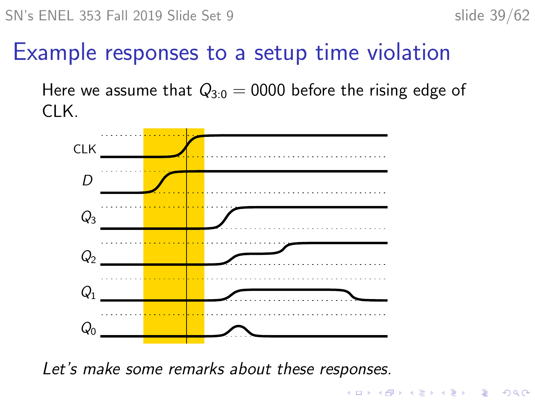KO KA KO KERKER KONGK

#### Example responses to a setup time violation

Here we assume that  $Q_{3,0} = 0000$  before the rising edge of CLK.



Let's make some remarks about these responses.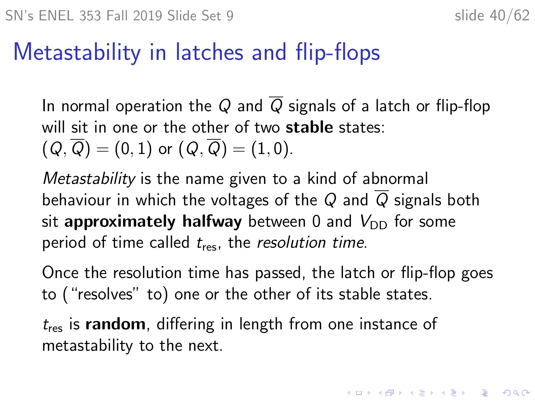**KORKAR KERKER SAGA** 

#### Metastability in latches and flip-flops

In normal operation the Q and  $\overline{Q}$  signals of a latch or flip-flop will sit in one or the other of two **stable** states:  $(Q, \overline{Q}) = (0, 1)$  or  $(Q, \overline{Q}) = (1, 0)$ .

Metastability is the name given to a kind of abnormal behaviour in which the voltages of the Q and  $\overline{Q}$  signals both sit approximately halfway between 0 and  $V_{\text{DD}}$  for some period of time called  $t_{res}$ , the resolution time.

Once the resolution time has passed, the latch or flip-flop goes to ("resolves" to) one or the other of its stable states.

 $t_{res}$  is random, differing in length from one instance of metastability to the next.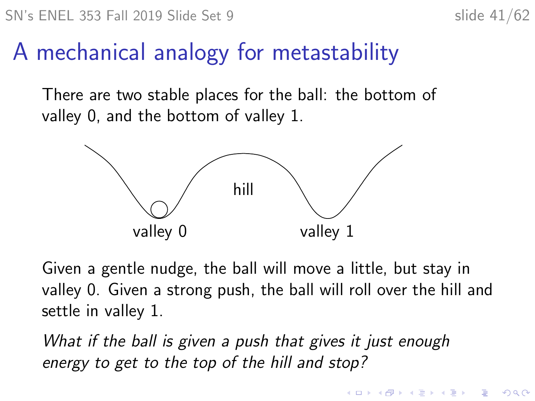**KORKARYKERKER OQO** 

#### A mechanical analogy for metastability

There are two stable places for the ball: the bottom of valley 0, and the bottom of valley 1.



Given a gentle nudge, the ball will move a little, but stay in valley 0. Given a strong push, the ball will roll over the hill and settle in valley 1.

What if the ball is given a push that gives it just enough energy to get to the top of the hill and stop?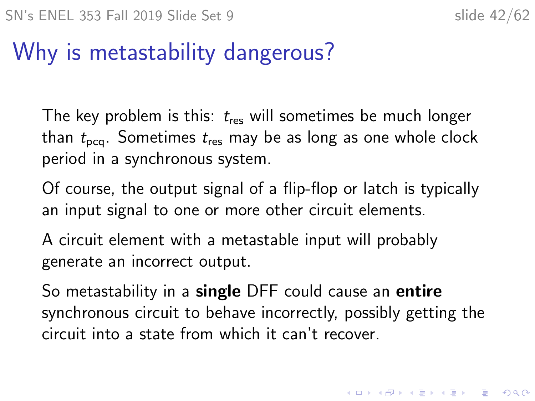## Why is metastability dangerous?

The key problem is this:  $t_{res}$  will sometimes be much longer than  $t_{\text{pca}}$ . Sometimes  $t_{\text{res}}$  may be as long as one whole clock period in a synchronous system.

Of course, the output signal of a flip-flop or latch is typically an input signal to one or more other circuit elements.

A circuit element with a metastable input will probably generate an incorrect output.

So metastability in a single DFF could cause an entire synchronous circuit to behave incorrectly, possibly getting the circuit into a state from which it can't recover.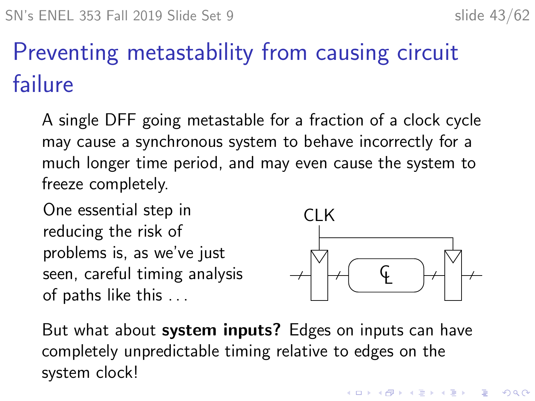# Preventing metastability from causing circuit failure

A single DFF going metastable for a fraction of a clock cycle may cause a synchronous system to behave incorrectly for a much longer time period, and may even cause the system to freeze completely.

One essential step in reducing the risk of problems is, as we've just seen, careful timing analysis of paths like this . . .



**KORKARYKERKER OQO** 

But what about **system inputs?** Edges on inputs can have completely unpredictable timing relative to edges on the system clock!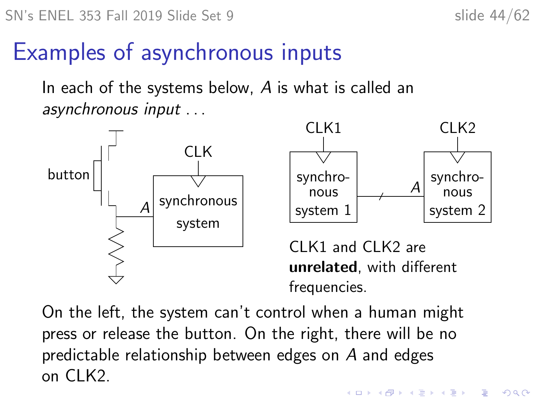#### Examples of asynchronous inputs

In each of the systems below, A is what is called an asynchronous input . . .





CLK1 and CLK2 are unrelated, with different frequencies.

**KORKARYKERKER OQO** 

On the left, the system can't control when a human might press or release the button. On the right, there will be no predictable relationship between edges on A and edges on CLK2.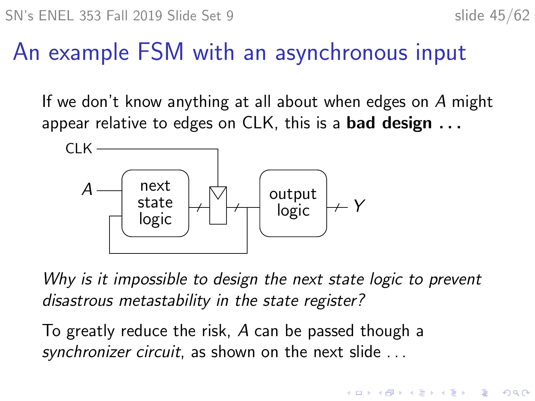**KORKARYKERKER OQO** 

## An example FSM with an asynchronous input

If we don't know anything at all about when edges on A might appear relative to edges on CLK, this is a **bad design...** 



Why is it impossible to design the next state logic to prevent disastrous metastability in the state register?

To greatly reduce the risk, A can be passed though a synchronizer circuit, as shown on the next slide ...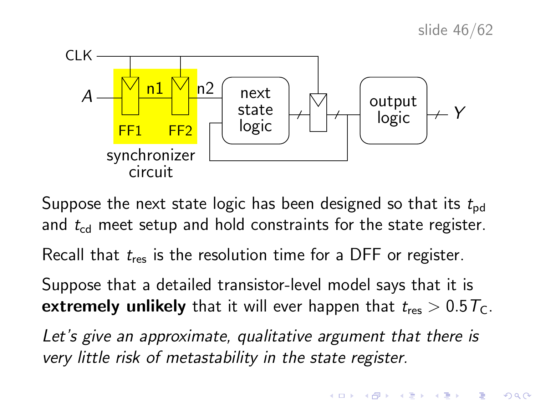

Suppose the next state logic has been designed so that its  $t_{pd}$ and  $t_{cd}$  meet setup and hold constraints for the state register.

Recall that  $t_{res}$  is the resolution time for a DFF or register.

Suppose that a detailed transistor-level model says that it is **extremely unlikely** that it will ever happen that  $t_{res} > 0.5T_c$ .

Let's give an approximate, qualitative argument that there is very little risk of metastability in the state register.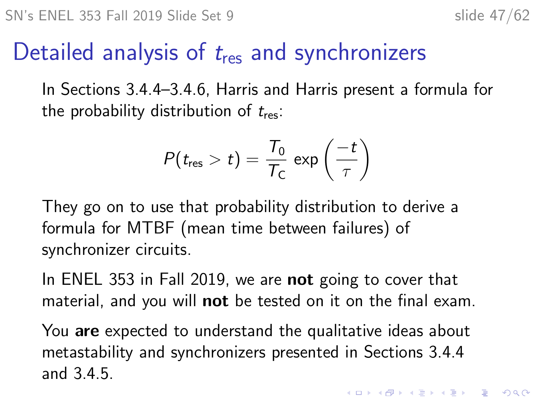#### Detailed analysis of  $t_{res}$  and synchronizers

In Sections 3.4.4–3.4.6, Harris and Harris present a formula for the probability distribution of  $t_{res}$ :

$$
P(t_{\text{res}} > t) = \frac{T_0}{T_{\text{C}}} \exp\left(\frac{-t}{\tau}\right)
$$

They go on to use that probability distribution to derive a formula for MTBF (mean time between failures) of synchronizer circuits.

In ENEL 353 in Fall 2019, we are **not** going to cover that material, and you will **not** be tested on it on the final exam.

You are expected to understand the qualitative ideas about metastability and synchronizers presented in Sections 3.4.4 and 3.4.5.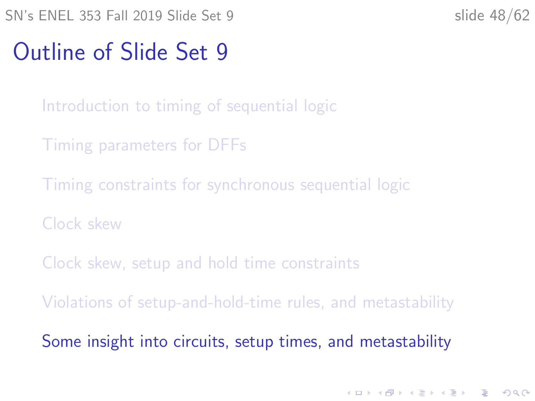K ロ ▶ K 個 ▶ K 할 ▶ K 할 ▶ 이 할 → 9 Q Q →

#### <span id="page-47-0"></span>Outline of Slide Set 9

- [Introduction to timing of sequential logic](#page-2-0)
- [Timing parameters for DFFs](#page-6-0)
- [Timing constraints for synchronous sequential logic](#page-15-0)
- [Clock skew](#page-26-0)
- [Clock skew, setup and hold time constraints](#page-30-0)
- [Violations of setup-and-hold-time rules, and metastability](#page-35-0)
- [Some insight into circuits, setup times, and metastability](#page-47-0)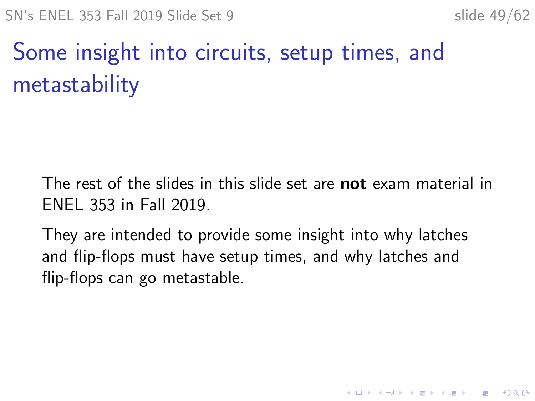# Some insight into circuits, setup times, and metastability

The rest of the slides in this slide set are **not** exam material in ENEL 353 in Fall 2019.

They are intended to provide some insight into why latches and flip-flops must have setup times, and why latches and flip-flops can go metastable.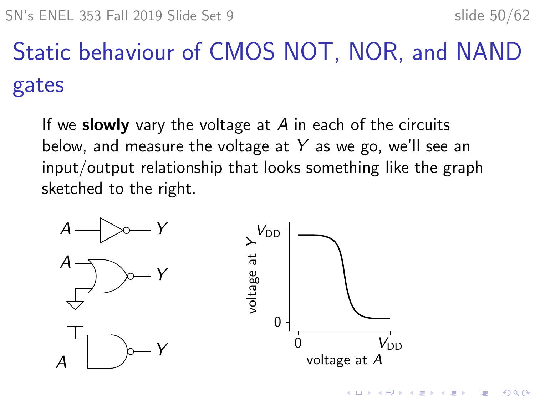$2Q$ 

Static behaviour of CMOS NOT, NOR, and NAND gates

If we slowly vary the voltage at  $A$  in each of the circuits below, and measure the voltage at Y as we go, we'll see an input/output relationship that looks something like the graph sketched to the right.

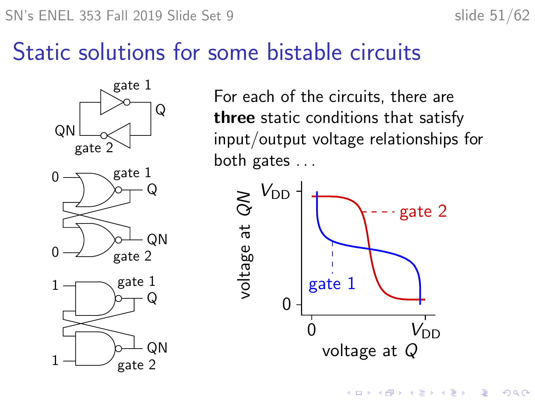#### Static solutions for some bistable circuits



For each of the circuits, there are three static conditions that satisfy input/output voltage relationships for both gates . . .



 $\left\{ \begin{array}{ccc} 1 & 0 & 0 \\ 0 & 1 & 0 \\ 0 & 0 & 0 \\ 0 & 0 & 0 \\ 0 & 0 & 0 \\ 0 & 0 & 0 \\ 0 & 0 & 0 \\ 0 & 0 & 0 \\ 0 & 0 & 0 \\ 0 & 0 & 0 \\ 0 & 0 & 0 \\ 0 & 0 & 0 \\ 0 & 0 & 0 \\ 0 & 0 & 0 \\ 0 & 0 & 0 & 0 \\ 0 & 0 & 0 & 0 \\ 0 & 0 & 0 & 0 \\ 0 & 0 & 0 & 0 & 0 \\ 0 & 0 & 0 & 0 & 0 \\ 0 & 0 & 0 & 0 & 0 \\ 0$ 

 $\equiv$ 

 $2990$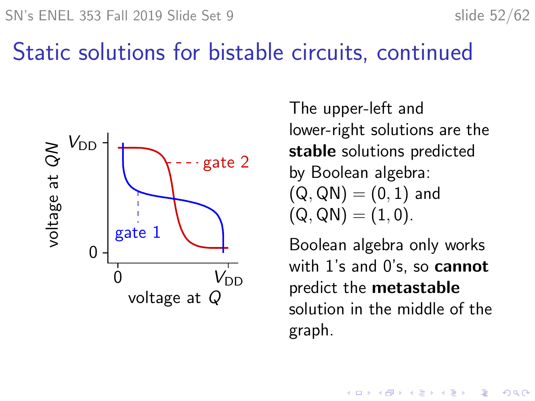#### Static solutions for bistable circuits, continued



The upper-left and lower-right solutions are the stable solutions predicted by Boolean algebra:  $(Q, QN) = (0, 1)$  and  $(Q, QN) = (1, 0).$ 

Boolean algebra only works with 1's and 0's, so cannot predict the metastable solution in the middle of the graph.

> $\mathbf{E} = \mathbf{A} \oplus \mathbf{A} + \mathbf{A} \oplus \mathbf{A} + \mathbf{A} \oplus \mathbf{A} + \mathbf{A} \oplus \mathbf{A}$  $2990$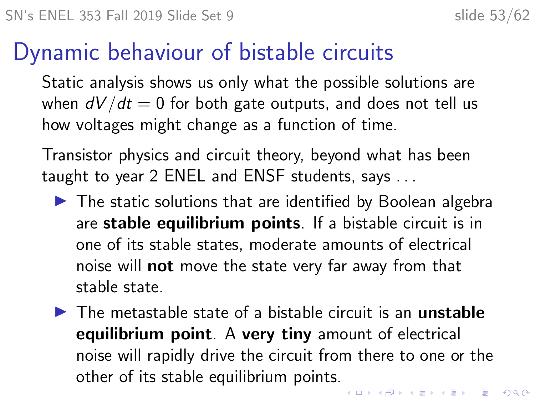#### Dynamic behaviour of bistable circuits

Static analysis shows us only what the possible solutions are when  $dV/dt = 0$  for both gate outputs, and does not tell us how voltages might change as a function of time.

Transistor physics and circuit theory, beyond what has been taught to year 2 ENEL and ENSF students, says . . .

- $\blacktriangleright$  The static solutions that are identified by Boolean algebra are stable equilibrium points. If a bistable circuit is in one of its stable states, moderate amounts of electrical noise will not move the state very far away from that stable state.
- $\blacktriangleright$  The metastable state of a bistable circuit is an **unstable** equilibrium point. A very tiny amount of electrical noise will rapidly drive the circuit from there to one or the other of its stable equilibrium points.**KORK ERREST ADAM ADA**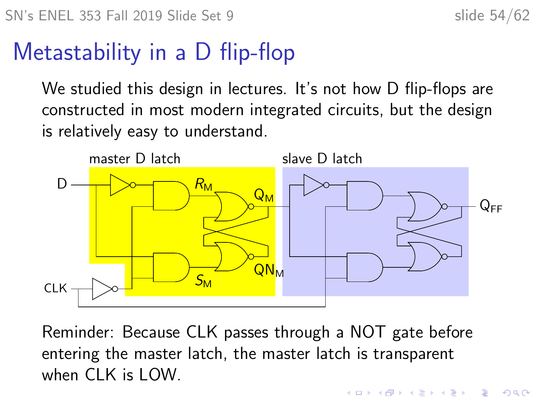**KORKARYKERKER OQO** 

#### Metastability in a D flip-flop

We studied this design in lectures. It's not how D flip-flops are constructed in most modern integrated circuits, but the design is relatively easy to understand.



Reminder: Because CLK passes through a NOT gate before entering the master latch, the master latch is transparent when CLK is LOW.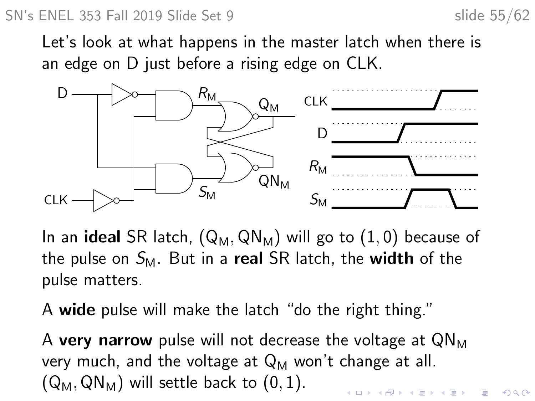#### SN's ENEL 353 Fall 2019 Slide Set 9 slide 55/62

 $2990$ 

Let's look at what happens in the master latch when there is an edge on D just before a rising edge on CLK.



In an **ideal** SR latch,  $(Q_M, QN_M)$  will go to  $(1, 0)$  because of the pulse on  $S_M$ . But in a real SR latch, the width of the pulse matters.

A wide pulse will make the latch "do the right thing."

A very narrow pulse will not decrease the voltage at  $QN_M$ very much, and the voltage at  $Q_M$  won't change at all.  $(Q_M, QN_M)$  will settle back to  $(0, 1)$ .  $\qquad \qquad \exists x \in \{x \in \mathbb{R} \mid x \in \mathbb{R} \} \text{ and } \qquad x \in \mathbb{R} \text{ and } \qquad x \in \mathbb{R} \text{ and } \qquad x \in \mathbb{R} \text{ and } \qquad x \in \mathbb{R} \text{ and } \qquad x \in \mathbb{R} \text{ and } \qquad x \in \mathbb{R} \text{ and } \qquad x \in \mathbb{R} \text{ and } \qquad x \in \mathbb{R} \text{ and } \qquad x \in \mathbb{R} \text{ and } \qquad x \in \mathbb{R} \text{ and } \qquad x \in \mathbb{$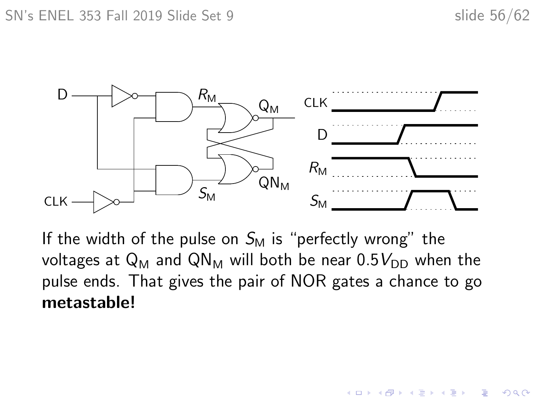$299$ 

B

イロト イ押ト イヨト イヨト



If the width of the pulse on  $S_M$  is "perfectly wrong" the voltages at  $Q_M$  and  $QN_M$  will both be near  $0.5V_{DD}$  when the pulse ends. That gives the pair of NOR gates a chance to go metastable!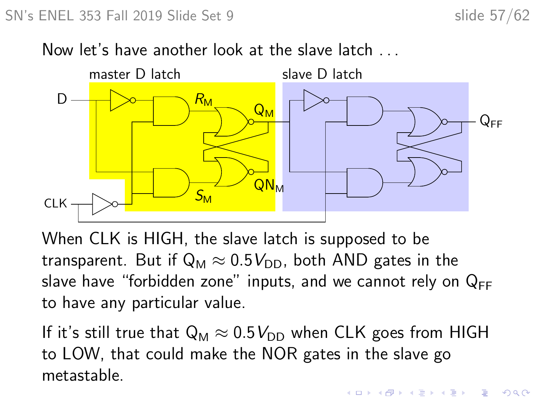#### Now let's have another look at the slave latch . . .



When CLK is HIGH, the slave latch is supposed to be transparent. But if  $Q_M \approx 0.5V_{DD}$ , both AND gates in the slave have "forbidden zone" inputs, and we cannot rely on  $Q_{FF}$ to have any particular value.

If it's still true that  $Q_M \approx 0.5 V_{DD}$  when CLK goes from HIGH to LOW, that could make the NOR gates in the slave go metastable.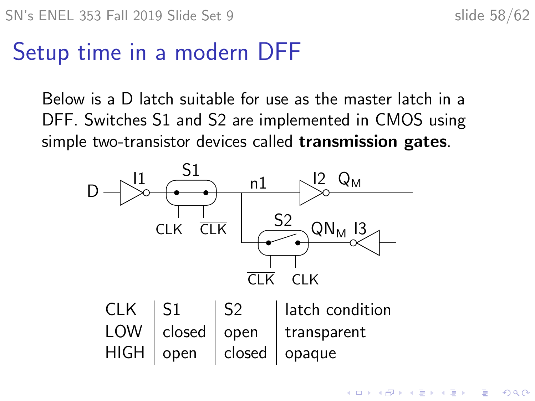#### Setup time in a modern DFF

Below is a D latch suitable for use as the master latch in a DFF. Switches S1 and S2 are implemented in CMOS using simple two-transistor devices called transmission gates.



| CLK | $\vert$ S1 | S <sub>2</sub> | I latch condition                              |
|-----|------------|----------------|------------------------------------------------|
|     |            |                | $\overline{LOW}$   closed   open   transparent |
|     |            |                | HIGH   open   closed   opaque                  |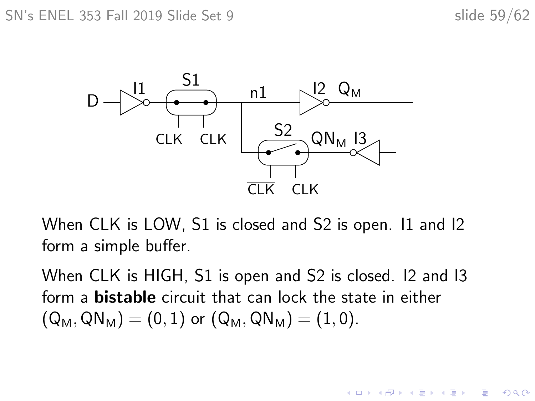$\mathbf{A} \equiv \mathbf{A} + \mathbf{A} + \mathbf{B} + \mathbf{A} + \mathbf{B} + \mathbf{A} + \mathbf{B} + \mathbf{A} + \mathbf{B} + \mathbf{A} + \mathbf{B} + \mathbf{A} + \mathbf{B} + \mathbf{A} + \mathbf{B} + \mathbf{A} + \mathbf{B} + \mathbf{A} + \mathbf{B} + \mathbf{A} + \mathbf{B} + \mathbf{A} + \mathbf{B} + \mathbf{A} + \mathbf{B} + \mathbf{A} + \mathbf{B} + \mathbf{A} + \mathbf{B} + \mathbf{A} + \math$ 

 $2990$ 



When CLK is LOW, S1 is closed and S2 is open. 11 and 12 form a simple buffer.

When CLK is HIGH, S1 is open and S2 is closed. I2 and I3 form a bistable circuit that can lock the state in either  $(Q_M, QN_M) = (0, 1)$  or  $(Q_M, QN_M) = (1, 0)$ .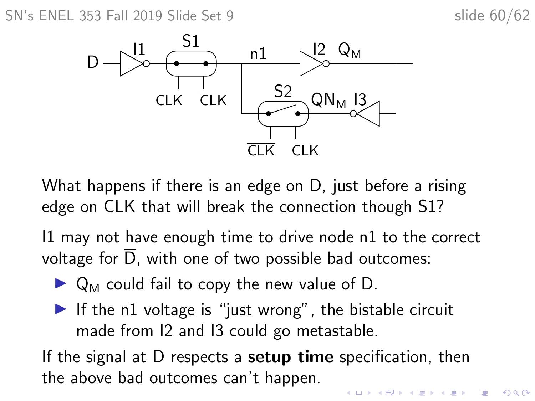SN's ENEL 353 Fall 2019 Slide Set 9 slide 60/62



What happens if there is an edge on D, just before a rising edge on CLK that will break the connection though S1?

I1 may not have enough time to drive node n1 to the correct voltage for  $\overline{D}$ , with one of two possible bad outcomes:

- $\triangleright$  Q<sub>M</sub> could fail to copy the new value of D.
- If the n1 voltage is "just wrong", the bistable circuit made from I2 and I3 could go metastable.

If the signal at  $D$  respects a **setup time** specification, then the above bad outcomes can't happen.

 $\mathbf{E} = \mathbf{A} \oplus \mathbf{B} + \mathbf{A} \oplus \mathbf{B} + \mathbf{A} \oplus \mathbf{B} + \mathbf{A} \oplus \mathbf{A}$  $2990$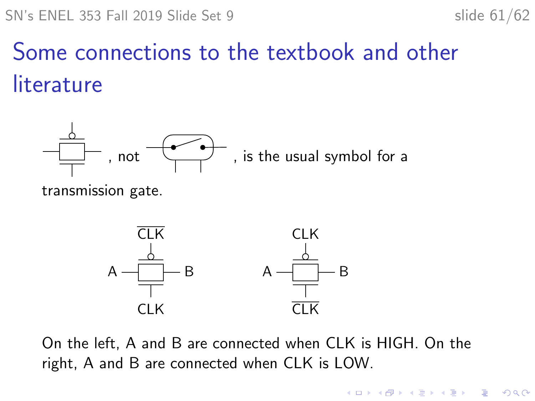$\left\{ \begin{array}{ccc} 1 & 0 & 0 \\ 0 & 1 & 0 \\ 0 & 0 & 0 \\ 0 & 0 & 0 \\ 0 & 0 & 0 \\ 0 & 0 & 0 \\ 0 & 0 & 0 \\ 0 & 0 & 0 \\ 0 & 0 & 0 \\ 0 & 0 & 0 \\ 0 & 0 & 0 \\ 0 & 0 & 0 \\ 0 & 0 & 0 \\ 0 & 0 & 0 \\ 0 & 0 & 0 & 0 \\ 0 & 0 & 0 & 0 \\ 0 & 0 & 0 & 0 \\ 0 & 0 & 0 & 0 & 0 \\ 0 & 0 & 0 & 0 & 0 \\ 0 & 0 & 0 & 0 & 0 \\ 0$ 

 $\mathbb{B}$ 

 $2Q$ 

# Some connections to the textbook and other literature



transmission gate.



On the left, A and B are connected when CLK is HIGH. On the right, A and B are connected when CLK is LOW.